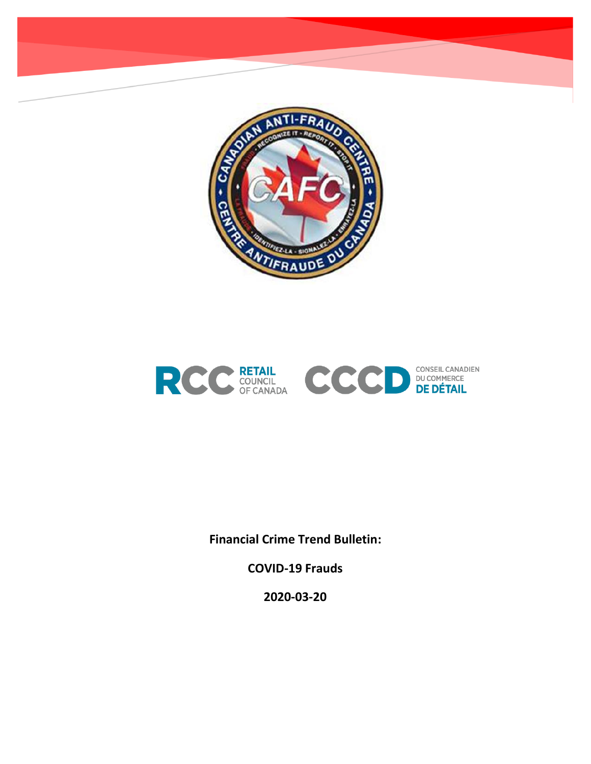



**Financial Crime Trend Bulletin:** 

**COVID-19 Frauds**

**2020-03-20**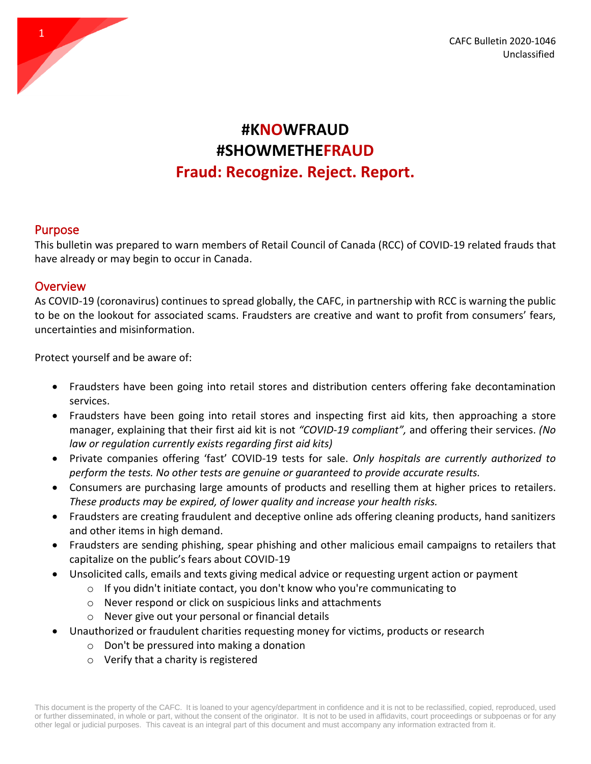

## **#KNOWFRAUD #SHOWMETHEFRAUD Fraud: Recognize. Reject. Report.**

## Purpose

This bulletin was prepared to warn members of Retail Council of Canada (RCC) of COVID-19 related frauds that have already or may begin to occur in Canada.

## **Overview**

As COVID-19 (coronavirus) continues to spread globally, the CAFC, in partnership with RCC is warning the public to be on the lookout for associated scams. Fraudsters are creative and want to profit from consumers' fears, uncertainties and misinformation.

Protect yourself and be aware of:

- Fraudsters have been going into retail stores and distribution centers offering fake decontamination services.
- Fraudsters have been going into retail stores and inspecting first aid kits, then approaching a store manager, explaining that their first aid kit is not *"COVID-19 compliant",* and offering their services. *(No law or regulation currently exists regarding first aid kits)*
- Private companies offering 'fast' COVID-19 tests for sale. *Only hospitals are currently authorized to perform the tests. No other tests are genuine or guaranteed to provide accurate results.*
- Consumers are purchasing large amounts of products and reselling them at higher prices to retailers. *These products may be expired, of lower quality and increase your health risks.*
- Fraudsters are creating fraudulent and deceptive online ads offering cleaning products, hand sanitizers and other items in high demand.
- Fraudsters are sending phishing, spear phishing and other malicious email campaigns to retailers that capitalize on the public's fears about COVID-19
- Unsolicited calls, emails and texts giving medical advice or requesting urgent action or payment
	- o If you didn't initiate contact, you don't know who you're communicating to
	- o Never respond or click on suspicious links and attachments
	- o Never give out your personal or financial details
- Unauthorized or fraudulent charities requesting money for victims, products or research
	- o Don't be pressured into making a donation
	- o [Verify that a charity is registered](https://apps.cra-arc.gc.ca/ebci/hacc/srch/pub/dsplyBscSrch?request_locale=en)

This document is the property of the CAFC. It is loaned to your agency/department in confidence and it is not to be reclassified, copied, reproduced, used or further disseminated, in whole or part, without the consent of the originator. It is not to be used in affidavits, court proceedings or subpoenas or for any other legal or judicial purposes. This caveat is an integral part of this document and must accompany any information extracted from it.